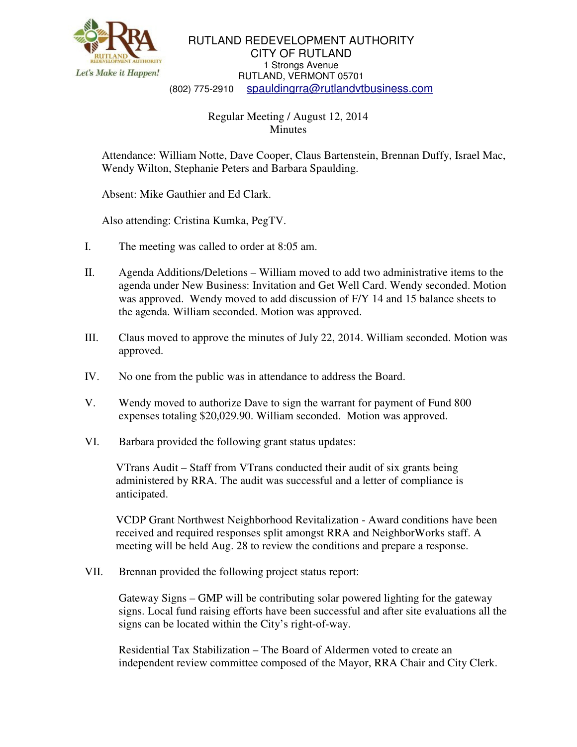

RUTLAND REDEVELOPMENT AUTHORITY CITY OF RUTLAND 1 Strongs Avenue RUTLAND, VERMONT 05701 (802) 775-2910 spauldingrra@rutlandvtbusiness.com

## Regular Meeting / August 12, 2014 **Minutes**

Attendance: William Notte, Dave Cooper, Claus Bartenstein, Brennan Duffy, Israel Mac, Wendy Wilton, Stephanie Peters and Barbara Spaulding.

Absent: Mike Gauthier and Ed Clark.

Also attending: Cristina Kumka, PegTV.

- I. The meeting was called to order at 8:05 am.
- II. Agenda Additions/Deletions William moved to add two administrative items to the agenda under New Business: Invitation and Get Well Card. Wendy seconded. Motion was approved. Wendy moved to add discussion of F/Y 14 and 15 balance sheets to the agenda. William seconded. Motion was approved.
- III. Claus moved to approve the minutes of July 22, 2014. William seconded. Motion was approved.
- IV. No one from the public was in attendance to address the Board.
- V. Wendy moved to authorize Dave to sign the warrant for payment of Fund 800 expenses totaling \$20,029.90. William seconded. Motion was approved.
- VI. Barbara provided the following grant status updates:

VTrans Audit – Staff from VTrans conducted their audit of six grants being administered by RRA. The audit was successful and a letter of compliance is anticipated.

VCDP Grant Northwest Neighborhood Revitalization - Award conditions have been received and required responses split amongst RRA and NeighborWorks staff. A meeting will be held Aug. 28 to review the conditions and prepare a response.

VII. Brennan provided the following project status report:

Gateway Signs – GMP will be contributing solar powered lighting for the gateway signs. Local fund raising efforts have been successful and after site evaluations all the signs can be located within the City's right-of-way.

Residential Tax Stabilization – The Board of Aldermen voted to create an independent review committee composed of the Mayor, RRA Chair and City Clerk.